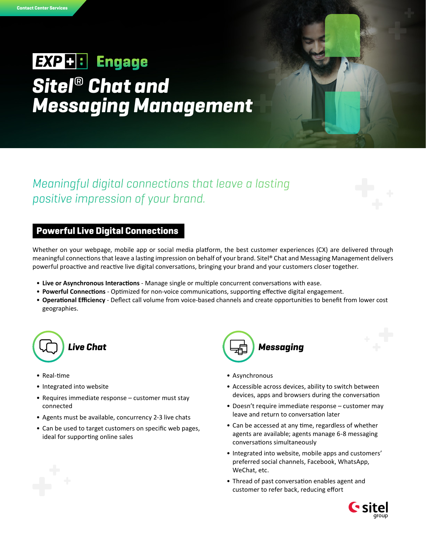# **EXP + : Engage** *Sitel*® *Chat and Messaging Management*

# *Meaningful digital connections that leave a lasting positive impression of your brand.*

## Powerful Live Digital Connections

Whether on your webpage, mobile app or social media platform, the best customer experiences (CX) are delivered through meaningful connections that leave a lasting impression on behalf of your brand. Sitel® Chat and Messaging Management delivers powerful proactive and reactive live digital conversations, bringing your brand and your customers closer together.

- **Live or Asynchronous Interactions** Manage single or multiple concurrent conversations with ease.
- **Powerful Connections**  Optimized for non-voice communications, supporting effective digital engagement.
- **Operational Efficiency**  Deflect call volume from voice-based channels and create opportunities to benefit from lower cost geographies.



- Real-time
- Integrated into website
- Requires immediate response customer must stay connected
- Agents must be available, concurrency 2-3 live chats
- Can be used to target customers on specific web pages, ideal for supporting online sales



- Asynchronous
- Accessible across devices, ability to switch between devices, apps and browsers during the conversation
- Doesn't require immediate response customer may leave and return to conversation later
- Can be accessed at any time, regardless of whether agents are available; agents manage 6-8 messaging conversations simultaneously
- Integrated into website, mobile apps and customers' preferred social channels, Facebook, WhatsApp, WeChat, etc.
- Thread of past conversation enables agent and customer to refer back, reducing effort